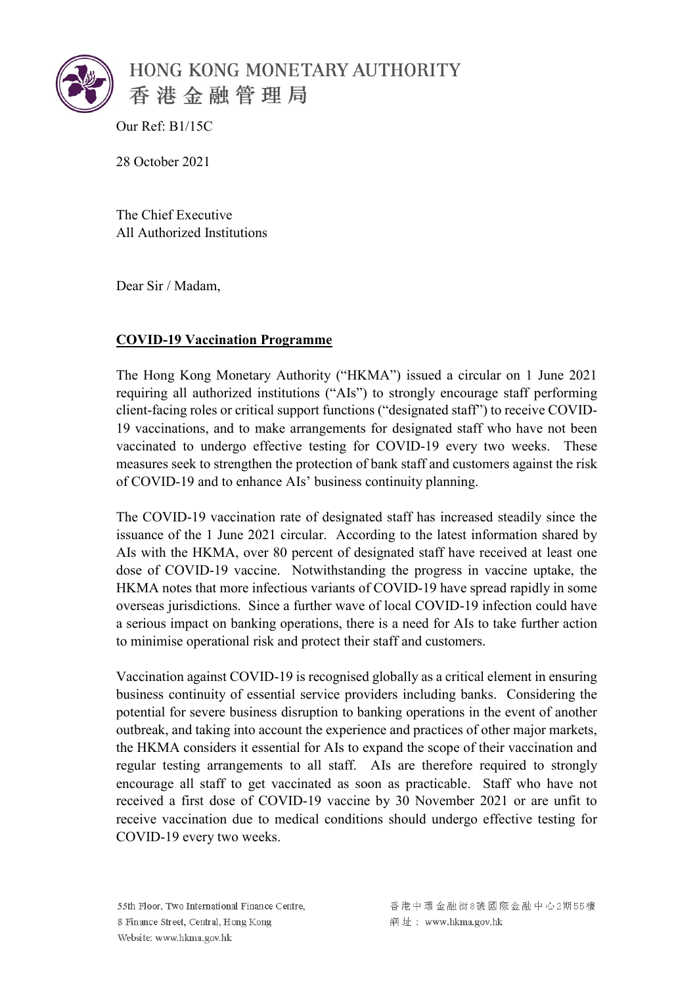

Our Ref: B1/15C

28 October 2021

The Chief Executive All Authorized Institutions

Dear Sir / Madam,

## **COVID-19 Vaccination Programme**

The Hong Kong Monetary Authority ("HKMA") issued a circular on 1 June 2021 requiring all authorized institutions ("AIs") to strongly encourage staff performing client-facing roles or critical support functions ("designated staff") to receive COVID-19 vaccinations, and to make arrangements for designated staff who have not been vaccinated to undergo effective testing for COVID-19 every two weeks. These measures seek to strengthen the protection of bank staff and customers against the risk of COVID-19 and to enhance AIs' business continuity planning.

The COVID-19 vaccination rate of designated staff has increased steadily since the issuance of the 1 June 2021 circular. According to the latest information shared by AIs with the HKMA, over 80 percent of designated staff have received at least one dose of COVID-19 vaccine. Notwithstanding the progress in vaccine uptake, the HKMA notes that more infectious variants of COVID-19 have spread rapidly in some overseas jurisdictions. Since a further wave of local COVID-19 infection could have a serious impact on banking operations, there is a need for AIs to take further action to minimise operational risk and protect their staff and customers.

Vaccination against COVID-19 is recognised globally as a critical element in ensuring business continuity of essential service providers including banks. Considering the potential for severe business disruption to banking operations in the event of another outbreak, and taking into account the experience and practices of other major markets, the HKMA considers it essential for AIs to expand the scope of their vaccination and regular testing arrangements to all staff. AIs are therefore required to strongly encourage all staff to get vaccinated as soon as practicable. Staff who have not received a first dose of COVID-19 vaccine by 30 November 2021 or are unfit to receive vaccination due to medical conditions should undergo effective testing for COVID-19 every two weeks.